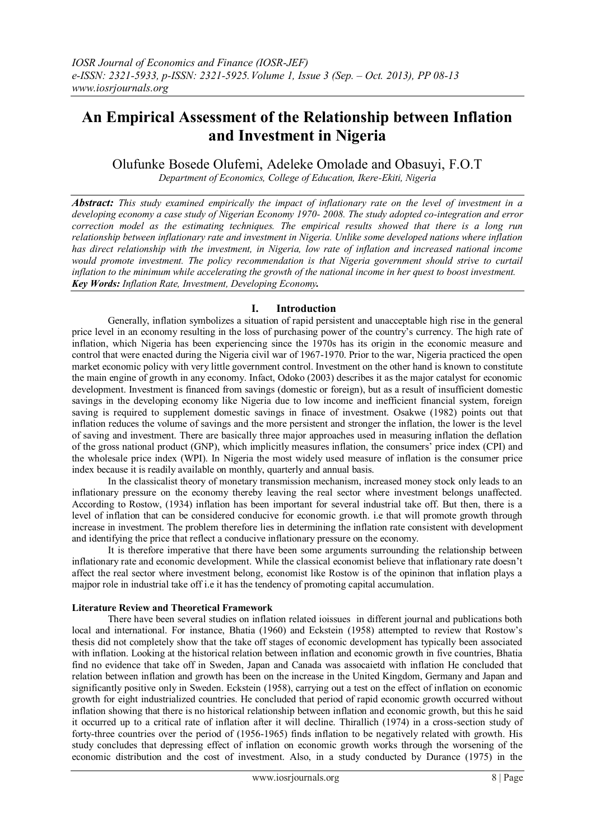# **An Empirical Assessment of the Relationship between Inflation and Investment in Nigeria**

Olufunke Bosede Olufemi, Adeleke Omolade and Obasuyi, F.O.T

*Department of Economics, College of Education, Ikere-Ekiti, Nigeria*

*Abstract: This study examined empirically the impact of inflationary rate on the level of investment in a developing economy a case study of Nigerian Economy 1970- 2008. The study adopted co-integration and error correction model as the estimating techniques. The empirical results showed that there is a long run relationship between inflationary rate and investment in Nigeria. Unlike some developed nations where inflation has direct relationship with the investment, in Nigeria, low rate of inflation and increased national income would promote investment. The policy recommendation is that Nigeria government should strive to curtail inflation to the minimum while accelerating the growth of the national income in her quest to boost investment. Key Words: Inflation Rate, Investment, Developing Economy.*

## **I. Introduction**

Generally, inflation symbolizes a situation of rapid persistent and unacceptable high rise in the general price level in an economy resulting in the loss of purchasing power of the country's currency. The high rate of inflation, which Nigeria has been experiencing since the 1970s has its origin in the economic measure and control that were enacted during the Nigeria civil war of 1967-1970. Prior to the war, Nigeria practiced the open market economic policy with very little government control. Investment on the other hand is known to constitute the main engine of growth in any economy. Infact, Odoko (2003) describes it as the major catalyst for economic development. Investment is financed from savings (domestic or foreign), but as a result of insufficient domestic savings in the developing economy like Nigeria due to low income and inefficient financial system, foreign saving is required to supplement domestic savings in finace of investment. Osakwe (1982) points out that inflation reduces the volume of savings and the more persistent and stronger the inflation, the lower is the level of saving and investment. There are basically three major approaches used in measuring inflation the deflation of the gross national product (GNP), which implicitly measures inflation, the consumers' price index (CPI) and the wholesale price index (WPI). In Nigeria the most widely used measure of inflation is the consumer price index because it is readily available on monthly, quarterly and annual basis.

In the classicalist theory of monetary transmission mechanism, increased money stock only leads to an inflationary pressure on the economy thereby leaving the real sector where investment belongs unaffected. According to Rostow, (1934) inflation has been important for several industrial take off. But then, there is a level of inflation that can be considered conducive for economic growth. i.e that will promote growth through increase in investment. The problem therefore lies in determining the inflation rate consistent with development and identifying the price that reflect a conducive inflationary pressure on the economy.

It is therefore imperative that there have been some arguments surrounding the relationship between inflationary rate and economic development. While the classical economist believe that inflationary rate doesn't affect the real sector where investment belong, economist like Rostow is of the opininon that inflation plays a majpor role in industrial take off i.e it has the tendency of promoting capital accumulation.

## **Literature Review and Theoretical Framework**

There have been several studies on inflation related ioissues in different journal and publications both local and international. For instance, Bhatia (1960) and Eckstein (1958) attempted to review that Rostow's thesis did not completely show that the take off stages of economic development has typically been associated with inflation. Looking at the historical relation between inflation and economic growth in five countries, Bhatia find no evidence that take off in Sweden, Japan and Canada was assocaietd with inflation He concluded that relation between inflation and growth has been on the increase in the United Kingdom, Germany and Japan and significantly positive only in Sweden. Eckstein (1958), carrying out a test on the effect of inflation on economic growth for eight industrialized countries. He concluded that period of rapid economic growth occurred without inflation showing that there is no historical relationship between inflation and economic growth, but this he said it occurred up to a critical rate of inflation after it will decline. Thirallich (1974) in a cross-section study of forty-three countries over the period of (1956-1965) finds inflation to be negatively related with growth. His study concludes that depressing effect of inflation on economic growth works through the worsening of the economic distribution and the cost of investment. Also, in a study conducted by Durance (1975) in the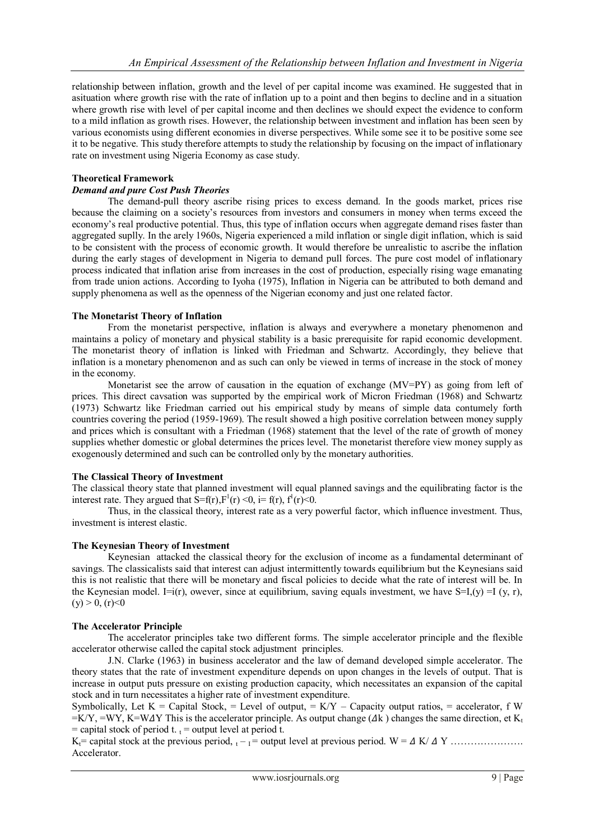relationship between inflation, growth and the level of per capital income was examined. He suggested that in asituation where growth rise with the rate of inflation up to a point and then begins to decline and in a situation where growth rise with level of per capital income and then declines we should expect the evidence to conform to a mild inflation as growth rises. However, the relationship between investment and inflation has been seen by various economists using different economies in diverse perspectives. While some see it to be positive some see it to be negative. This study therefore attempts to study the relationship by focusing on the impact of inflationary rate on investment using Nigeria Economy as case study.

## **Theoretical Framework**

## *Demand and pure Cost Push Theories*

The demand-pull theory ascribe rising prices to excess demand. In the goods market, prices rise because the claiming on a society's resources from investors and consumers in money when terms exceed the economy's real productive potential. Thus, this type of inflation occurs when aggregate demand rises faster than aggregated suplly. In the arely 1960s, Nigeria experienced a mild inflation or single digit inflation, which is said to be consistent with the process of economic growth. It would therefore be unrealistic to ascribe the inflation during the early stages of development in Nigeria to demand pull forces. The pure cost model of inflationary process indicated that inflation arise from increases in the cost of production, especially rising wage emanating from trade union actions. According to Iyoha (1975), Inflation in Nigeria can be attributed to both demand and supply phenomena as well as the openness of the Nigerian economy and just one related factor.

### **The Monetarist Theory of Inflation**

From the monetarist perspective, inflation is always and everywhere a monetary phenomenon and maintains a policy of monetary and physical stability is a basic prerequisite for rapid economic development. The monetarist theory of inflation is linked with Friedman and Schwartz. Accordingly, they believe that inflation is a monetary phenomenon and as such can only be viewed in terms of increase in the stock of money in the economy.

Monetarist see the arrow of causation in the equation of exchange (MV=PY) as going from left of prices. This direct cavsation was supported by the empirical work of Micron Friedman (1968) and Schwartz (1973) Schwartz like Friedman carried out his empirical study by means of simple data contumely forth countries covering the period (1959-1969). The result showed a high positive correlation between money supply and prices which is consultant with a Friedman (1968) statement that the level of the rate of growth of money supplies whether domestic or global determines the prices level. The monetarist therefore view money supply as exogenously determined and such can be controlled only by the monetary authorities.

## **The Classical Theory of Investment**

The classical theory state that planned investment will equal planned savings and the equilibrating factor is the interest rate. They argued that  $S=f(r)$ ,  $F^1(r) < 0$ ,  $i = f(r)$ ,  $f^1(r) < 0$ .

Thus, in the classical theory, interest rate as a very powerful factor, which influence investment. Thus, investment is interest elastic.

## **The Keynesian Theory of Investment**

Keynesian attacked the classical theory for the exclusion of income as a fundamental determinant of savings. The classicalists said that interest can adjust intermittently towards equilibrium but the Keynesians said this is not realistic that there will be monetary and fiscal policies to decide what the rate of interest will be. In the Keynesian model. I=i(r), owever, since at equilibrium, saving equals investment, we have  $S=I(y) = I(y, r)$ ,  $(y) > 0$ ,  $(r) < 0$ 

## **The Accelerator Principle**

The accelerator principles take two different forms. The simple accelerator principle and the flexible accelerator otherwise called the capital stock adjustment principles.

J.N. Clarke (1963) in business accelerator and the law of demand developed simple accelerator. The theory states that the rate of investment expenditure depends on upon changes in the levels of output. That is increase in output puts pressure on existing production capacity, which necessitates an expansion of the capital stock and in turn necessitates a higher rate of investment expenditure.

Symbolically, Let  $K =$  Capital Stock, = Level of output, =  $K/Y$  – Capacity output ratios, = accelerator, f W  $=K/Y$ ,  $=WY$ ,  $K=WAY$  This is the accelerator principle. As output change ( $\Delta k$ ) changes the same direction, et K<sub>t</sub> = capital stock of period t.  $t =$  output level at period t.

Kt= capital stock at the previous period, <sup>t</sup> – <sup>I</sup>= output level at previous period. W = K/ Y …………………. Accelerator.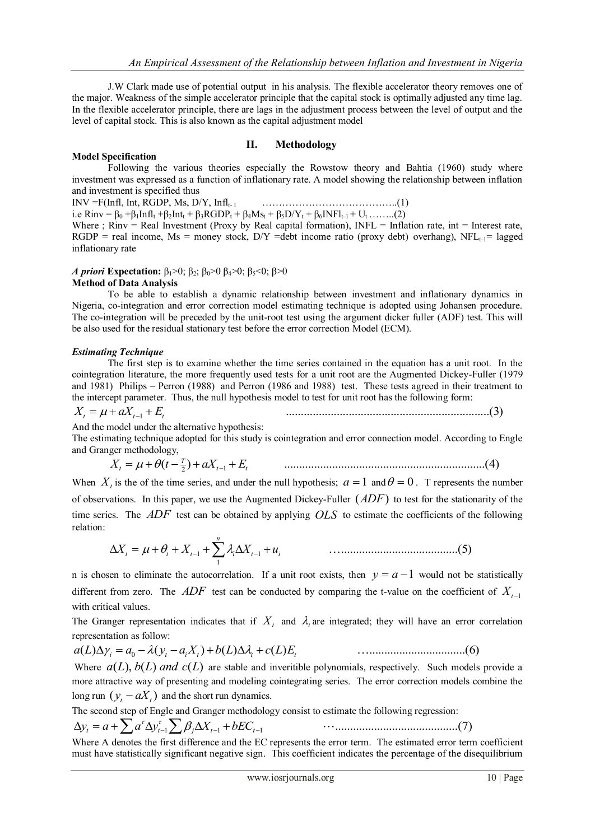J.W Clark made use of potential output in his analysis. The flexible accelerator theory removes one of the major. Weakness of the simple accelerator principle that the capital stock is optimally adjusted any time lag. In the flexible accelerator principle, there are lags in the adjustment process between the level of output and the level of capital stock. This is also known as the capital adjustment model

## **II. Methodology**

#### **Model Specification**

Following the various theories especially the Rowstow theory and Bahtia (1960) study where investment was expressed as a function of inflationary rate. A model showing the relationship between inflation and investment is specified thus

INV =F(Infl, Int, RGDP, Ms, D/Y, Inflt- <sup>I</sup>…………………………………..(1)

i.e Rinv =  $\beta_0 + \beta_1 \text{Infl}_t + \beta_2 \text{Int}_t + \beta_3 \text{RGDP}_t + \beta_4 \text{Ms}_t + \beta_5 \text{D/Y}_t + \beta_6 \text{INFl}_{t-1} + \text{U}_t$  …….(2)

Where ; Rinv = Real Investment (Proxy by Real capital formation), INFL = Inflation rate, int = Interest rate,  $RGDP = real income$ , Ms = money stock,  $D/Y$  =debt income ratio (proxy debt) overhang),  $NFL_{t-1}$ = lagged inflationary rate

### *A priori* **Expectation:**  $β_1 > 0$ ;  $β_2$ ;  $β_0 > 0$   $β_4 > 0$ ;  $β_5 < 0$ ;  $β > 0$

### **Method of Data Analysis**

To be able to establish a dynamic relationship between investment and inflationary dynamics in Nigeria, co-integration and error correction model estimating technique is adopted using Johansen procedure. The co-integration will be preceded by the unit-root test using the argument dicker fuller (ADF) test. This will be also used for the residual stationary test before the error correction Model (ECM).

### *Estimating Technique*

The first step is to examine whether the time series contained in the equation has a unit root. In the cointegration literature, the more frequently used tests for a unit root are the Augmented Dickey-Fuller (1979 and 1981) Philips – Perron (1988) and Perron (1986 and 1988) test. These tests agreed in their treatment to the intercept parameter. Thus, the null hypothesis model to test for unit root has the following form:

$$
X_t = \mu + aX_{t-1} + E_t \tag{3}
$$

And the model under the alternative hypothesis:

The estimating technique adopted for this study is cointegration and error connection model. According to Engle and Granger methodology,

$$
X_{t} = \mu + \theta(t - \frac{\tau}{2}) + aX_{t-1} + E_{t}
$$
 (4)

When  $X_t$  is the of the time series, and under the null hypothesis;  $a = 1$  and  $\theta = 0$ . T represents the number of observations. In this paper, we use the Augmented Dickey-Fuller (*ADF*) to test for the stationarity of the time series. The *ADF* test can be obtained by applying *OLS* to estimate the coefficients of the following relation:

 *n X<sup>t</sup> <sup>t</sup> X<sup>t</sup> <sup>i</sup> X<sup>t</sup> u<sup>i</sup>* 1 <sup>1</sup> <sup>1</sup> .......................................(5)

n is chosen to eliminate the autocorrelation. If a unit root exists, then  $y = a - 1$  would not be statistically different from zero. The  $ADF$  test can be conducted by comparing the t-value on the coefficient of  $X_{t-1}$ with critical values.

The Granger representation indicates that if  $X_t$  and  $\lambda_t$  are integrated; they will have an error correlation representation as follow:

$$
a(L)\Delta \gamma_i = a_0 - \lambda (y_t - a_i X_t) + b(L)\Delta \lambda_i + c(L)E_t
$$
\n
$$
\dots
$$
\n(6)

Where  $a(L)$ ,  $b(L)$  *and*  $c(L)$  are stable and inveritible polynomials, respectively. Such models provide a more attractive way of presenting and modeling cointegrating series. The error correction models combine the long run  $(y_t - aX_t)$  and the short run dynamics.

The second step of Engle and Granger methodology consist to estimate the following regression:

$$
\Delta y_t = a + \sum a^{\tau} \Delta y_{t-1}^{\tau} \sum \beta_j \Delta X_{t-1} + bEC_{t-1} \qquad \cdots \qquad \qquad \cdots \qquad \qquad \qquad \cdots \qquad \qquad \qquad \cdots \qquad \qquad \cdots \qquad \qquad \cdots \qquad \qquad \cdots \qquad \qquad \cdots \qquad \qquad \cdots \qquad \qquad \cdots \qquad \qquad \cdots \qquad \qquad \cdots \qquad \qquad \cdots \qquad \qquad \cdots \qquad \qquad \cdots \qquad \qquad \cdots \qquad \qquad \cdots \qquad \qquad \cdots \qquad \qquad \cdots \qquad \qquad \cdots \qquad \qquad \cdots \qquad \qquad \cdots \qquad \qquad \cdots \qquad \qquad \cdots \qquad \qquad \cdots \qquad \qquad \cdots \qquad \qquad \cdots \qquad \qquad \cdots \qquad \qquad \cdots \qquad \qquad \cdots \qquad \qquad \cdots \qquad \qquad \cdots \qquad \qquad \cdots \qquad \qquad \cdots \qquad \qquad \cdots \qquad \qquad \cdots \qquad \qquad \cdots \qquad \qquad \cdots \qquad \qquad \cdots \qquad \qquad \cdots \qquad \qquad \cdots \qquad \qquad \cdots \qquad \qquad \cdots \qquad \qquad \cdots \qquad \qquad \cdots \qquad \qquad \cdots \qquad \qquad \cdots \qquad \qquad \cdots \qquad \qquad \cdots \qquad \qquad \cdots \qquad \qquad \cdots \qquad \qquad \cdots \qquad \qquad \cdots \qquad \qquad \cdots \qquad \qquad \cdots \qquad \qquad \cdots \qquad \qquad \cdots \qquad \qquad \cdots \qquad \qquad \cdots \qquad \qquad \qquad \cdots \qquad \qquad \qquad \cdots \qquad \qquad \qquad \cdots \qquad \qquad \qquad \cdots \qquad \qquad \qquad \cdots \qquad \qquad \cdots \qquad \qquad \cdots \qquad \qquad \cdots \qquad \qquad \cdots \qquad \qquad \cdots \qquad \qquad \cdots \qquad \qquad \cdots \qquad \qquad \qquad \qquad \cdots \qquad \qquad \qquad \cdots \qquad \qquad \qquad \qquad \qquad \qquad \qquad \cdots \qquad \q
$$

Where A denotes the first difference and the EC represents the error term. The estimated error term coefficient must have statistically significant negative sign. This coefficient indicates the percentage of the disequilibrium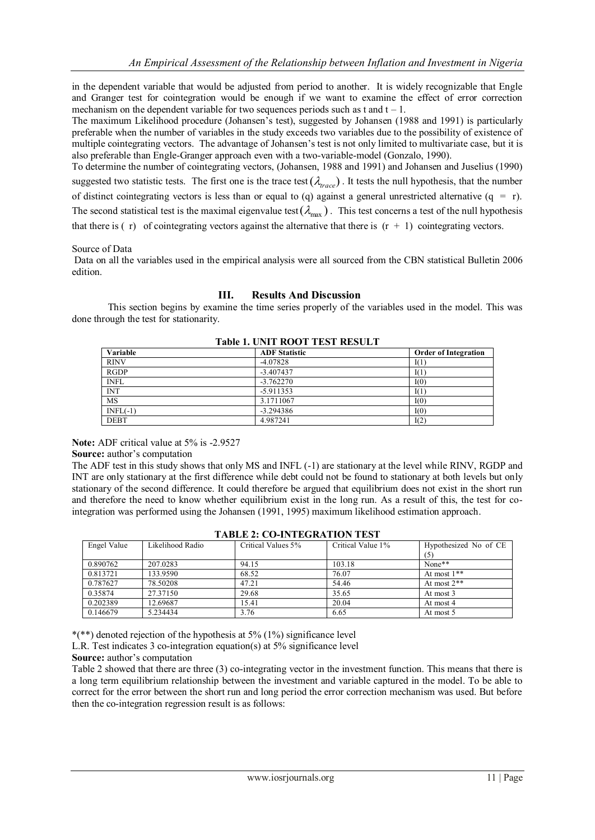in the dependent variable that would be adjusted from period to another. It is widely recognizable that Engle and Granger test for cointegration would be enough if we want to examine the effect of error correction mechanism on the dependent variable for two sequences periods such as t and  $t - 1$ .

The maximum Likelihood procedure (Johansen's test), suggested by Johansen (1988 and 1991) is particularly preferable when the number of variables in the study exceeds two variables due to the possibility of existence of multiple cointegrating vectors. The advantage of Johansen's test is not only limited to multivariate case, but it is also preferable than Engle-Granger approach even with a two-variable-model (Gonzalo, 1990).

To determine the number of cointegrating vectors, (Johansen, 1988 and 1991) and Johansen and Juselius (1990) suggested two statistic tests. The first one is the trace test  $(\lambda_{trace})$ . It tests the null hypothesis, that the number of distinct cointegrating vectors is less than or equal to (q) against a general unrestricted alternative ( $q = r$ ). The second statistical test is the maximal eigenvalue test ( $\lambda_{max}$ ). This test concerns a test of the null hypothesis that there is  $(r)$  of cointegrating vectors against the alternative that there is  $(r + 1)$  cointegrating vectors.

### Source of Data

Data on all the variables used in the empirical analysis were all sourced from the CBN statistical Bulletin 2006 edition.

#### **III. Results And Discussion**

This section begins by examine the time series properly of the variables used in the model. This was done through the test for stationarity.

| Variable    | <b>ADF</b> Statistic | <b>Order of Integration</b> |
|-------------|----------------------|-----------------------------|
| <b>RINV</b> | $-4.07828$           | I(1)                        |
| <b>RGDP</b> | $-3.407437$          | I(1)                        |
| <b>INFL</b> | $-3.762270$          | I(0)                        |
| <b>INT</b>  | $-5.911353$          | I(1)                        |
| MS          | 3.1711067            | I(0)                        |
| $INFL(-1)$  | $-3.294386$          | I(0)                        |
| <b>DEBT</b> | 4.987241             | I(2)                        |

**Table 1. UNIT ROOT TEST RESULT**

**Note:** ADF critical value at 5% is -2.9527

**Source:** author's computation

The ADF test in this study shows that only MS and INFL (-1) are stationary at the level while RINV, RGDP and INT are only stationary at the first difference while debt could not be found to stationary at both levels but only stationary of the second difference. It could therefore be argued that equilibrium does not exist in the short run and therefore the need to know whether equilibrium exist in the long run. As a result of this, the test for cointegration was performed using the Johansen (1991, 1995) maximum likelihood estimation approach.

| Engel Value | Likelihood Radio | Critical Values 5% | Critical Value 1% | Hypothesized No of CE |
|-------------|------------------|--------------------|-------------------|-----------------------|
|             |                  |                    |                   | (5)                   |
| 0.890762    | 207.0283         | 94.15              | 103.18            | None**                |
| 0.813721    | 133.9590         | 68.52              | 76.07             | At most $1**$         |
| 0.787627    | 78.50208         | 47.21              | 54.46             | At most $2**$         |
| 0.35874     | 27.37150         | 29.68              | 35.65             | At most 3             |
| 0.202389    | 12.69687         | 15.41              | 20.04             | At most 4             |
| 0.146679    | 5.234434         | 3.76               | 6.65              | At most 5             |

## **TABLE 2: CO-INTEGRATION TEST**

\*(\*\*) denoted rejection of the hypothesis at 5% (1%) significance level

L.R. Test indicates 3 co-integration equation(s) at 5% significance level

**Source:** author's computation

Table 2 showed that there are three (3) co-integrating vector in the investment function. This means that there is a long term equilibrium relationship between the investment and variable captured in the model. To be able to correct for the error between the short run and long period the error correction mechanism was used. But before then the co-integration regression result is as follows: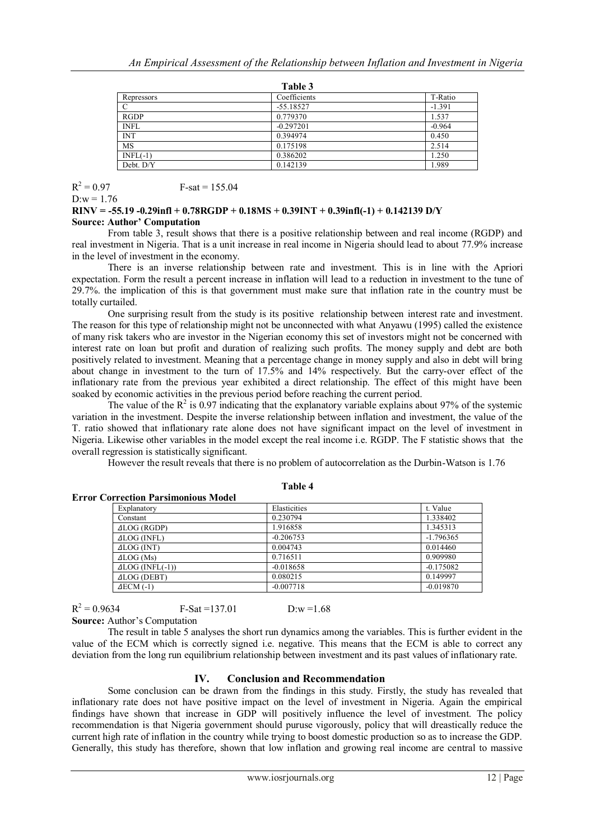| ш<br>٧ |  |
|--------|--|
|--------|--|

| 1 avit J     |          |  |  |
|--------------|----------|--|--|
| Coefficients | T-Ratio  |  |  |
| $-55.18527$  | $-1.391$ |  |  |
| 0.779370     | 1.537    |  |  |
| $-0.297201$  | $-0.964$ |  |  |
| 0.394974     | 0.450    |  |  |
| 0.175198     | 2.514    |  |  |
| 0.386202     | 1.250    |  |  |
| 0.142139     | 1.989    |  |  |
|              |          |  |  |

 $R^2$  $F-sat = 155.04$ 

 $D:w = 1.76$ 

#### **RINV = -55.19 -0.29infl + 0.78RGDP + 0.18MS + 0.39INT + 0.39infl(-1) + 0.142139 D/Y Source: Author' Computation**

From table 3, result shows that there is a positive relationship between and real income (RGDP) and real investment in Nigeria. That is a unit increase in real income in Nigeria should lead to about 77.9% increase in the level of investment in the economy.

There is an inverse relationship between rate and investment. This is in line with the Apriori expectation. Form the result a percent increase in inflation will lead to a reduction in investment to the tune of 29.7%. the implication of this is that government must make sure that inflation rate in the country must be totally curtailed.

One surprising result from the study is its positive relationship between interest rate and investment. The reason for this type of relationship might not be unconnected with what Anyawu (1995) called the existence of many risk takers who are investor in the Nigerian economy this set of investors might not be concerned with interest rate on loan but profit and duration of realizing such profits. The money supply and debt are both positively related to investment. Meaning that a percentage change in money supply and also in debt will bring about change in investment to the turn of 17.5% and 14% respectively. But the carry-over effect of the inflationary rate from the previous year exhibited a direct relationship. The effect of this might have been soaked by economic activities in the previous period before reaching the current period.

The value of the  $R^2$  is 0.97 indicating that the explanatory variable explains about 97% of the systemic variation in the investment. Despite the inverse relationship between inflation and investment, the value of the T. ratio showed that inflationary rate alone does not have significant impact on the level of investment in Nigeria. Likewise other variables in the model except the real income i.e. RGDP. The F statistic shows that the overall regression is statistically significant.

However the result reveals that there is no problem of autocorrelation as the Durbin-Watson is 1.76

|                                            | тами т       |             |
|--------------------------------------------|--------------|-------------|
| <b>Error Correction Parsimonious Model</b> |              |             |
| Explanatory                                | Elasticities | t. Value    |
| Constant                                   | 0.230794     | 1.338402    |
| ALOG (RGDP)                                | 1.916858     | 1.345313    |
| ALOG (INFL)                                | $-0.206753$  | $-1.796365$ |
| $ALOG$ (INT)                               | 0.004743     | 0.014460    |
| $\triangle$ LOG (Ms)                       | 0.716511     | 0.909980    |
| $ALOG (INFL(-1))$                          | $-0.018658$  | $-0.175082$ |
| <b>ALOG (DEBT)</b>                         | 0.080215     | 0.149997    |
| $AECM$ (-1)                                | $-0.007718$  | $-0.019870$ |

| ч | וחו |  |
|---|-----|--|
|   |     |  |

 $R^2$ **Source:** Author's Computation

The result in table 5 analyses the short run dynamics among the variables. This is further evident in the value of the ECM which is correctly signed i.e. negative. This means that the ECM is able to correct any deviation from the long run equilibrium relationship between investment and its past values of inflationary rate.

## **IV. Conclusion and Recommendation**

 $F-Sat = 137.01$  D:w =1.68

Some conclusion can be drawn from the findings in this study. Firstly, the study has revealed that inflationary rate does not have positive impact on the level of investment in Nigeria. Again the empirical findings have shown that increase in GDP will positively influence the level of investment. The policy recommendation is that Nigeria government should puruse vigorously, policy that will dreastically reduce the current high rate of inflation in the country while trying to boost domestic production so as to increase the GDP. Generally, this study has therefore, shown that low inflation and growing real income are central to massive